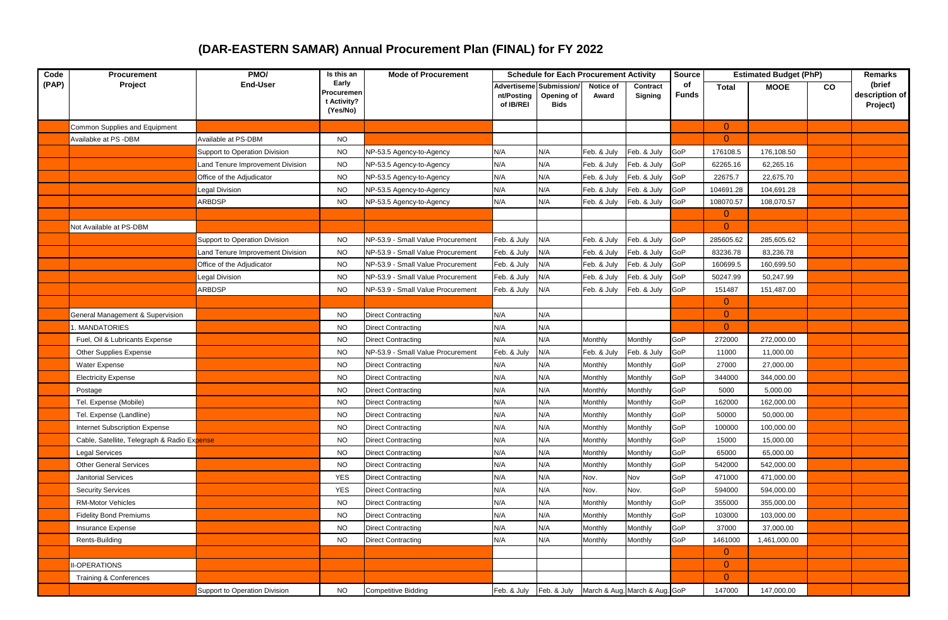## **(DAR-EASTERN SAMAR) Annual Procurement Plan (FINAL) for FY 2022**

| Code<br>(PAP) | Procurement<br>Project                      | PMO/<br><b>End-User</b>              | Is this an<br>Early<br>Procuremen<br>t Activity?<br>(Yes/No) | <b>Mode of Procurement</b>               | <b>Schedule for Each Procurement Activity</b> |                                          |                    |                               | <b>Source</b>      | <b>Estimated Budget (PhP)</b> |              |    | Remarks                              |
|---------------|---------------------------------------------|--------------------------------------|--------------------------------------------------------------|------------------------------------------|-----------------------------------------------|------------------------------------------|--------------------|-------------------------------|--------------------|-------------------------------|--------------|----|--------------------------------------|
|               |                                             |                                      |                                                              |                                          | <b>Advertiseme</b><br>nt/Posting<br>of IB/REI | Submission/<br>Opening of<br><b>Bids</b> | Notice of<br>Award | Contract<br><b>Signing</b>    | of<br><b>Funds</b> | <b>Total</b>                  | <b>MOOE</b>  | CO | (brief<br>description of<br>Project) |
|               | Common Supplies and Equipment               |                                      |                                                              |                                          |                                               |                                          |                    |                               |                    | $\overline{0}$                |              |    |                                      |
|               | Availabke at PS -DBM                        | Available at PS-DBM                  | <b>NO</b>                                                    |                                          |                                               |                                          |                    |                               |                    | $\overline{0}$                |              |    |                                      |
|               |                                             | <b>Support to Operation Division</b> | <b>NO</b>                                                    | VP-53.5 Agency-to-Agency                 | N/A                                           | N/A                                      | Feb. & July        | Feb. & July                   | GoP                | 176108.5                      | 176,108.50   |    |                                      |
|               |                                             | and Tenure Improvement Division      | <b>NO</b>                                                    | VP-53.5 Agency-to-Agency                 | N/A                                           | N/A                                      | Feb. & July        | Feb. & July                   | GoP                | 62265.16                      | 62,265.16    |    |                                      |
|               |                                             | Office of the Adjudicator            | <b>NO</b>                                                    | VP-53.5 Agency-to-Agency                 | N/A                                           | N/A                                      | Feb. & July        | Feb. & July                   | GoP                | 22675.7                       | 22,675.70    |    |                                      |
|               |                                             | egal Division                        | <b>NO</b>                                                    | VP-53.5 Agency-to-Agency                 | N/A                                           | N/A                                      | Feb. & July        | Feb. & July                   | GoP                | 104691.28                     | 104,691.28   |    |                                      |
|               |                                             | ARBDSP                               | <b>NO</b>                                                    | VP-53.5 Agency-to-Agency                 | N/A                                           | N/A                                      | Feb. & July        | Feb. & July                   | GoP                | 108070.57                     | 108,070.57   |    |                                      |
|               |                                             |                                      |                                                              |                                          |                                               |                                          |                    |                               |                    | $\overline{0}$                |              |    |                                      |
|               | Not Available at PS-DBM                     |                                      |                                                              |                                          |                                               |                                          |                    |                               |                    | $\overline{0}$                |              |    |                                      |
|               |                                             | Support to Operation Division        | <b>NO</b>                                                    | NP-53.9 - Small Value Procurement        | Feb. & July                                   | N/A                                      | Feb. & July        | Feb. & July                   | GoP                | 285605.62                     | 285,605.62   |    |                                      |
|               |                                             | and Tenure Improvement Division      | <b>NO</b>                                                    | <b>NP-53.9 - Small Value Procurement</b> | Feb. & July                                   | N/A                                      | Feb. & July        | Feb. & July                   | GoP                | 83236.78                      | 83,236.78    |    |                                      |
|               |                                             | Office of the Adjudicator            | <b>NO</b>                                                    | NP-53.9 - Small Value Procurement        | Feb. & July                                   | N/A                                      | Feb. & July        | Feb. & July                   | 3oP                | 160699.5                      | 160,699.50   |    |                                      |
|               |                                             | Legal Division                       | <b>NO</b>                                                    | <b>NP-53.9 - Small Value Procurement</b> | Feb. & July                                   | N/A                                      | Feb. & July        | Feb. & July                   | GoP                | 50247.99                      | 50,247.99    |    |                                      |
|               |                                             | ARBDSP                               | <b>NO</b>                                                    | <b>NP-53.9 - Small Value Procurement</b> | Feb. & July                                   | N/A                                      | Feb. & July        | Feb. & July                   | GoP                | 151487                        | 151,487.00   |    |                                      |
|               |                                             |                                      |                                                              |                                          |                                               |                                          |                    |                               |                    | $\overline{0}$                |              |    |                                      |
|               | General Management & Supervision            |                                      | <b>NO</b>                                                    | <b>Direct Contracting</b>                | N/A                                           | N/A                                      |                    |                               |                    | $\overline{0}$                |              |    |                                      |
|               | I. MANDATORIES                              |                                      | <b>NO</b>                                                    | <b>Direct Contracting</b>                | N/A                                           | N/A                                      |                    |                               |                    | $\overline{0}$                |              |    |                                      |
|               | Fuel, Oil & Lubricants Expense              |                                      | <b>NO</b>                                                    | <b>Direct Contracting</b>                | N/A                                           | N/A                                      | Monthly            | Monthly                       | GoP                | 272000                        | 272,000.00   |    |                                      |
|               | Other Supplies Expense                      |                                      | <b>NO</b>                                                    | <b>NP-53.9 - Small Value Procurement</b> | Feb. & July                                   | N/A                                      | Feb. & July        | Feb. & July                   | GoP                | 11000                         | 11,000.00    |    |                                      |
|               | <b>Water Expense</b>                        |                                      | <b>NO</b>                                                    | Direct Contracting                       | N/A                                           | N/A                                      | Monthly            | Monthly                       | GoP                | 27000                         | 27,000.00    |    |                                      |
|               | <b>Electricity Expense</b>                  |                                      | <b>NO</b>                                                    | Direct Contracting                       | N/A                                           | N/A                                      | Monthly            | Monthly                       | 3oP                | 344000                        | 344,000.00   |    |                                      |
|               | Postage                                     |                                      | <b>NO</b>                                                    | Direct Contracting                       | N/A                                           | N/A                                      | Monthly            | Monthly                       | GoP                | 5000                          | 5,000.00     |    |                                      |
|               | Tel. Expense (Mobile)                       |                                      | <b>NO</b>                                                    | Direct Contracting                       | N/A                                           | N/A                                      | Monthly            | Monthly                       | GoP                | 162000                        | 162,000.00   |    |                                      |
|               | Tel. Expense (Landline)                     |                                      | <b>NO</b>                                                    | Direct Contracting                       | N/A                                           | N/A                                      | Monthly            | Monthly                       | GoP                | 50000                         | 50,000.00    |    |                                      |
|               | <b>Internet Subscription Expense</b>        |                                      | <b>NO</b>                                                    | Direct Contracting                       | N/A                                           | N/A                                      | Monthly            | Monthly                       | GoP                | 100000                        | 100,000.00   |    |                                      |
|               | Cable, Satellite, Telegraph & Radio Expense |                                      | <b>NO</b>                                                    | <b>Direct Contracting</b>                | N/A                                           | N/A                                      | Monthly            | Monthly                       | GoP                | 15000                         | 15,000.00    |    |                                      |
|               | <b>Legal Services</b>                       |                                      | <b>NO</b>                                                    | <b>Direct Contracting</b>                | N/A                                           | N/A                                      | Monthly            | Monthly                       | GoP                | 65000                         | 65,000.00    |    |                                      |
|               | <b>Other General Services</b>               |                                      | <b>NO</b>                                                    | <b>Direct Contracting</b>                | N/A                                           | N/A                                      | Monthly            | Monthly                       | GoP                | 542000                        | 542,000.00   |    |                                      |
|               | <b>Janitorial Services</b>                  |                                      | <b>YES</b>                                                   | Direct Contracting                       | N/A                                           | N/A                                      | Nov.               | Nov                           | GoP                | 471000                        | 471,000.00   |    |                                      |
|               | <b>Security Services</b>                    |                                      | <b>YES</b>                                                   | Direct Contracting                       | N/A                                           | N/A                                      | Nov.               | Nov.                          | GoP                | 594000                        | 594,000.00   |    |                                      |
|               | <b>RM-Motor Vehicles</b>                    |                                      | <b>NO</b>                                                    | Direct Contracting                       | N/A                                           | N/A                                      | Monthly            | Monthly                       | GoP                | 355000                        | 355,000.00   |    |                                      |
|               | <b>Fidelity Bond Premiums</b>               |                                      | <b>NO</b>                                                    | Direct Contracting                       | N/A                                           | N/A                                      | Monthly            | Monthly                       | GoP                | 103000                        | 103,000.00   |    |                                      |
|               | Insurance Expense                           |                                      | <b>NO</b>                                                    | Direct Contracting                       | N/A                                           | N/A                                      | Monthly            | Monthly                       | GoP                | 37000                         | 37,000.00    |    |                                      |
|               | Rents-Building                              |                                      | <b>NO</b>                                                    | Direct Contracting                       | N/A                                           | N/A                                      | Monthly            | Monthly                       | GoP                | 1461000                       | 1,461,000.00 |    |                                      |
|               |                                             |                                      |                                                              |                                          |                                               |                                          |                    |                               |                    | $\overline{0}$                |              |    |                                      |
|               | <b>I-OPERATIONS</b>                         |                                      |                                                              |                                          |                                               |                                          |                    |                               |                    | $\overline{0}$                |              |    |                                      |
|               | Training & Conferences                      |                                      |                                                              |                                          |                                               |                                          |                    |                               |                    | $\overline{0}$                |              |    |                                      |
|               |                                             | Support to Operation Division        | <b>NO</b>                                                    | <b>Competitive Bidding</b>               | Feb. & July                                   | Feb. & July                              |                    | March & Aug. March & Aug. GoP |                    | 147000                        | 147,000.00   |    |                                      |